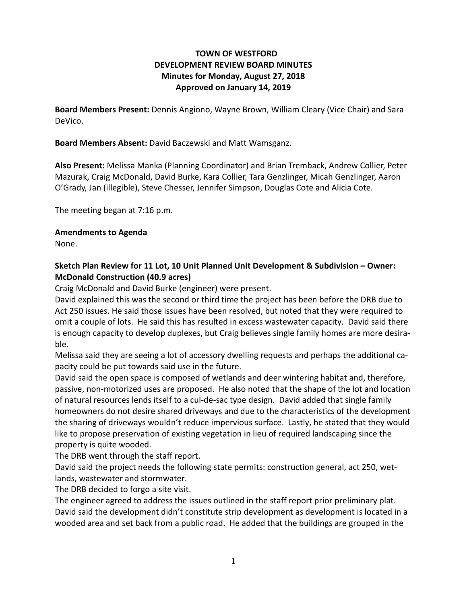## **TOWN OF WESTFORD DEVELOPMENT REVIEW BOARD MINUTES Minutes for Monday, August 27, 2018 Approved on January 14, 2019**

**Board Members Present:** Dennis Angiono, Wayne Brown, William Cleary (Vice Chair) and Sara DeVico.

**Board Members Absent:** David Baczewski and Matt Wamsganz.

**Also Present:** Melissa Manka (Planning Coordinator) and Brian Tremback, Andrew Collier, Peter Mazurak, Craig McDonald, David Burke, Kara Collier, Tara Genzlinger, Micah Genzlinger, Aaron O'Grady, Jan (illegible), Steve Chesser, Jennifer Simpson, Douglas Cote and Alicia Cote.

The meeting began at 7:16 p.m.

## **Amendments to Agenda**

None.

## **Sketch Plan Review for 11 Lot, 10 Unit Planned Unit Development & Subdivision – Owner: McDonald Construction (40.9 acres)**

Craig McDonald and David Burke (engineer) were present.

David explained this was the second or third time the project has been before the DRB due to Act 250 issues. He said those issues have been resolved, but noted that they were required to omit a couple of lots. He said this has resulted in excess wastewater capacity. David said there is enough capacity to develop duplexes, but Craig believes single family homes are more desirable.

Melissa said they are seeing a lot of accessory dwelling requests and perhaps the additional capacity could be put towards said use in the future.

David said the open space is composed of wetlands and deer wintering habitat and, therefore, passive, non-motorized uses are proposed. He also noted that the shape of the lot and location of natural resources lends itself to a cul-de-sac type design. David added that single family homeowners do not desire shared driveways and due to the characteristics of the development the sharing of driveways wouldn't reduce impervious surface. Lastly, he stated that they would like to propose preservation of existing vegetation in lieu of required landscaping since the property is quite wooded.

The DRB went through the staff report.

David said the project needs the following state permits: construction general, act 250, wetlands, wastewater and stormwater.

The DRB decided to forgo a site visit.

The engineer agreed to address the issues outlined in the staff report prior preliminary plat. David said the development didn't constitute strip development as development is located in a wooded area and set back from a public road. He added that the buildings are grouped in the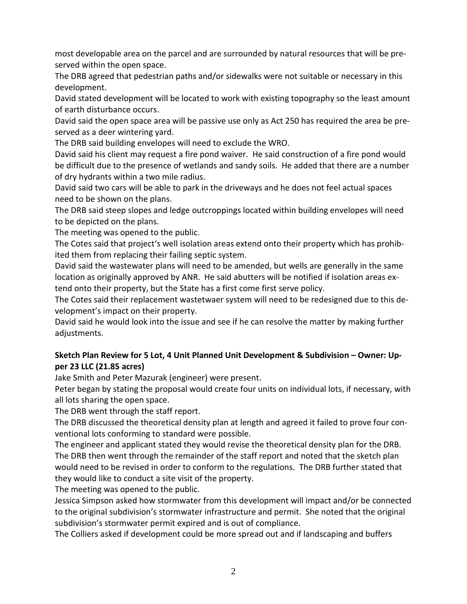most developable area on the parcel and are surrounded by natural resources that will be preserved within the open space.

The DRB agreed that pedestrian paths and/or sidewalks were not suitable or necessary in this development.

David stated development will be located to work with existing topography so the least amount of earth disturbance occurs.

David said the open space area will be passive use only as Act 250 has required the area be preserved as a deer wintering yard.

The DRB said building envelopes will need to exclude the WRO.

David said his client may request a fire pond waiver. He said construction of a fire pond would be difficult due to the presence of wetlands and sandy soils. He added that there are a number of dry hydrants within a two mile radius.

David said two cars will be able to park in the driveways and he does not feel actual spaces need to be shown on the plans.

The DRB said steep slopes and ledge outcroppings located within building envelopes will need to be depicted on the plans.

The meeting was opened to the public.

The Cotes said that project's well isolation areas extend onto their property which has prohibited them from replacing their failing septic system.

David said the wastewater plans will need to be amended, but wells are generally in the same location as originally approved by ANR. He said abutters will be notified if isolation areas extend onto their property, but the State has a first come first serve policy.

The Cotes said their replacement wastetwaer system will need to be redesigned due to this development's impact on their property.

David said he would look into the issue and see if he can resolve the matter by making further adjustments.

## **Sketch Plan Review for 5 Lot, 4 Unit Planned Unit Development & Subdivision – Owner: Upper 23 LLC (21.85 acres)**

Jake Smith and Peter Mazurak (engineer) were present.

Peter began by stating the proposal would create four units on individual lots, if necessary, with all lots sharing the open space.

The DRB went through the staff report.

The DRB discussed the theoretical density plan at length and agreed it failed to prove four conventional lots conforming to standard were possible.

The engineer and applicant stated they would revise the theoretical density plan for the DRB. The DRB then went through the remainder of the staff report and noted that the sketch plan would need to be revised in order to conform to the regulations. The DRB further stated that they would like to conduct a site visit of the property.

The meeting was opened to the public.

Jessica Simpson asked how stormwater from this development will impact and/or be connected to the original subdivision's stormwater infrastructure and permit. She noted that the original subdivision's stormwater permit expired and is out of compliance.

The Colliers asked if development could be more spread out and if landscaping and buffers